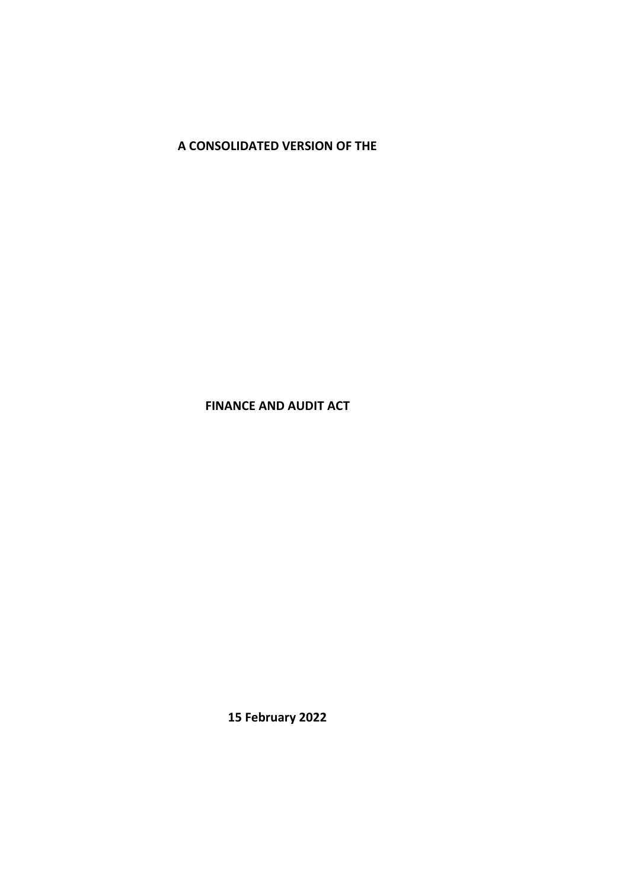**A CONSOLIDATED VERSION OF THE**

**FINANCE AND AUDIT ACT**

**15 February 2022**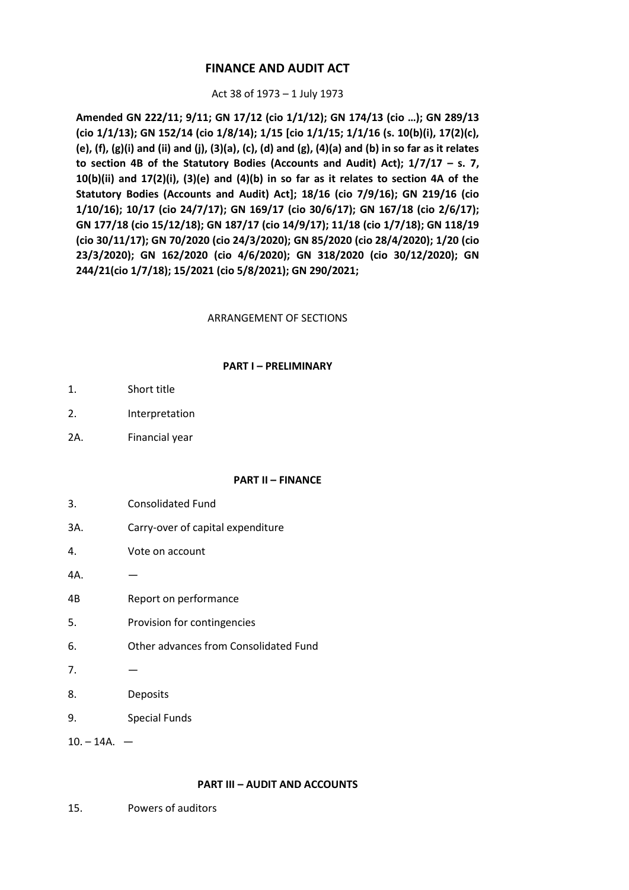# **FINANCE AND AUDIT ACT**

## Act 38 of 1973 – 1 July 1973

**Amended GN 222/11; 9/11; GN 17/12 (cio 1/1/12); GN 174/13 (cio …); GN 289/13 (cio 1/1/13); GN 152/14 (cio 1/8/14); 1/15 [cio 1/1/15; 1/1/16 (s. 10(b)(i), 17(2)(c), (e), (f), (g)(i) and (ii) and (j), (3)(a), (c), (d) and (g), (4)(a) and (b) in so far as it relates to section 4B of the Statutory Bodies (Accounts and Audit) Act); 1/7/17 – s. 7, 10(b)(ii) and 17(2)(i), (3)(e) and (4)(b) in so far as it relates to section 4A of the Statutory Bodies (Accounts and Audit) Act]; 18/16 (cio 7/9/16); GN 219/16 (cio 1/10/16); 10/17 (cio 24/7/17); GN 169/17 (cio 30/6/17); GN 167/18 (cio 2/6/17); GN 177/18 (cio 15/12/18); GN 187/17 (cio 14/9/17); 11/18 (cio 1/7/18); GN 118/19 (cio 30/11/17); GN 70/2020 (cio 24/3/2020); GN 85/2020 (cio 28/4/2020); 1/20 (cio 23/3/2020); GN 162/2020 (cio 4/6/2020); GN 318/2020 (cio 30/12/2020); GN 244/21(cio 1/7/18); 15/2021 (cio 5/8/2021); GN 290/2021;**

## ARRANGEMENT OF SECTIONS

## **PART I – PRELIMINARY**

- 1. Short title
- 2. Interpretation
- 2A. Financial year

## **PART II – FINANCE**

- 3. Consolidated Fund
- 3A. Carry-over of capital expenditure
- 4. Vote on account
- 4A. —
- 4B Report on performance
- 5. Provision for contingencies
- 6. Other advances from Consolidated Fund
- $7<sub>l</sub>$
- 8. Deposits
- 9. Special Funds

 $10. - 14A. -$ 

## **PART III – AUDIT AND ACCOUNTS**

15. Powers of auditors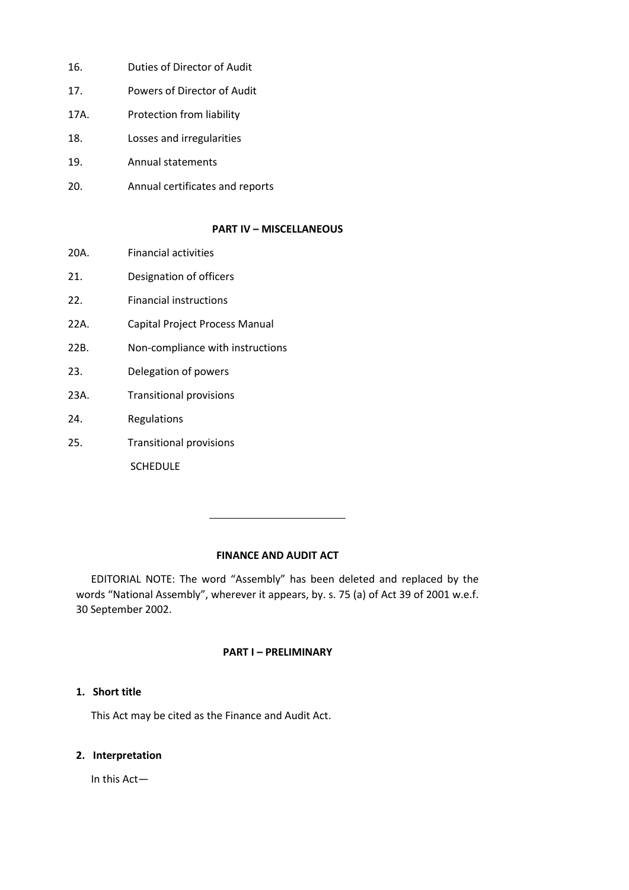- 16. Duties of Director of Audit
- 17. Powers of Director of Audit
- 17A. Protection from liability
- 18. Losses and irregularities
- 19. Annual statements
- 20. Annual certificates and reports

#### **PART IV – MISCELLANEOUS**

- 20A. Financial activities
- 21. Designation of officers
- 22. Financial instructions
- 22A. Capital Project Process Manual
- 22B. Non-compliance with instructions
- 23. Delegation of powers
- 23A. Transitional provisions
- 24. Regulations
- 25. Transitional provisions

SCHEDULE

# **FINANCE AND AUDIT ACT**

EDITORIAL NOTE: The word "Assembly" has been deleted and replaced by the words "National Assembly", wherever it appears, by. s. 75 (a) of Act 39 of 2001 w.e.f. 30 September 2002.

## **PART I – PRELIMINARY**

## **1. Short title**

This Act may be cited as the Finance and Audit Act.

#### **2. Interpretation**

In this Act—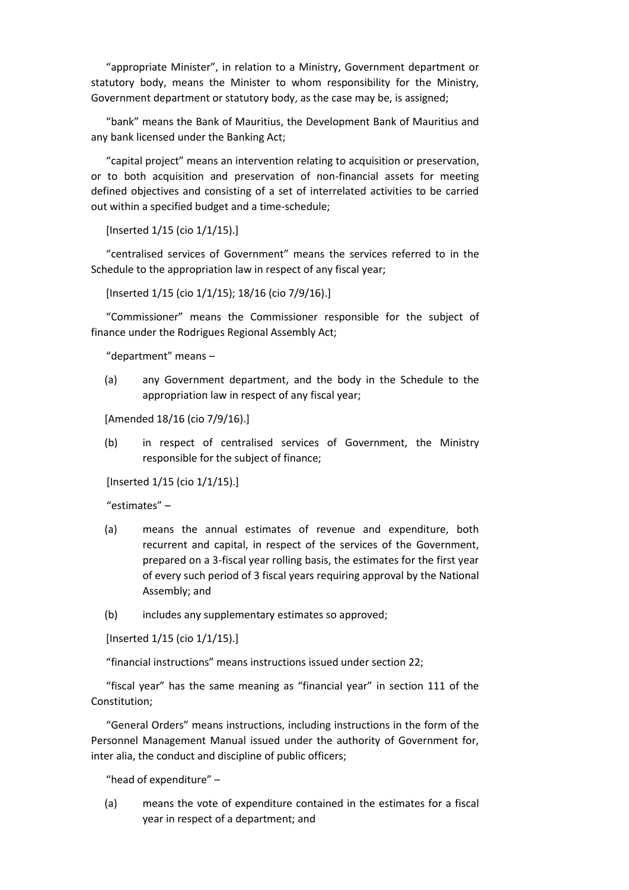"appropriate Minister", in relation to a Ministry, Government department or statutory body, means the Minister to whom responsibility for the Ministry, Government department or statutory body, as the case may be, is assigned;

"bank" means the Bank of Mauritius, the Development Bank of Mauritius and any bank licensed under the Banking Act;

"capital project" means an intervention relating to acquisition or preservation, or to both acquisition and preservation of non-financial assets for meeting defined objectives and consisting of a set of interrelated activities to be carried out within a specified budget and a time-schedule;

[Inserted 1/15 (cio 1/1/15).]

"centralised services of Government" means the services referred to in the Schedule to the appropriation law in respect of any fiscal year;

[Inserted 1/15 (cio 1/1/15); 18/16 (cio 7/9/16).]

"Commissioner" means the Commissioner responsible for the subject of finance under the Rodrigues Regional Assembly Act;

"department" means –

(a) any Government department, and the body in the Schedule to the appropriation law in respect of any fiscal year;

[Amended 18/16 (cio 7/9/16).]

(b) in respect of centralised services of Government, the Ministry responsible for the subject of finance;

[Inserted 1/15 (cio 1/1/15).]

"estimates" –

- (a) means the annual estimates of revenue and expenditure, both recurrent and capital, in respect of the services of the Government, prepared on a 3-fiscal year rolling basis, the estimates for the first year of every such period of 3 fiscal years requiring approval by the National Assembly; and
- (b) includes any supplementary estimates so approved;

[Inserted 1/15 (cio 1/1/15).]

"financial instructions" means instructions issued under section 22;

"fiscal year" has the same meaning as "financial year" in section 111 of the Constitution;

"General Orders" means instructions, including instructions in the form of the Personnel Management Manual issued under the authority of Government for, inter alia, the conduct and discipline of public officers;

"head of expenditure" –

(a) means the vote of expenditure contained in the estimates for a fiscal year in respect of a department; and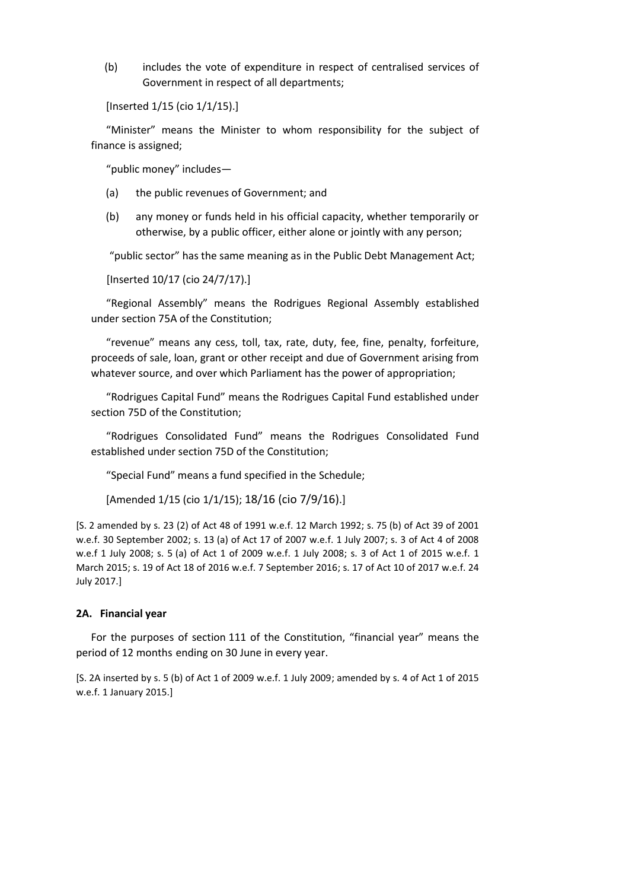(b) includes the vote of expenditure in respect of centralised services of Government in respect of all departments;

[Inserted 1/15 (cio 1/1/15).]

"Minister" means the Minister to whom responsibility for the subject of finance is assigned;

"public money" includes—

- (a) the public revenues of Government; and
- (b) any money or funds held in his official capacity, whether temporarily or otherwise, by a public officer, either alone or jointly with any person;

"public sector" has the same meaning as in the Public Debt Management Act;

[Inserted 10/17 (cio 24/7/17).]

"Regional Assembly" means the Rodrigues Regional Assembly established under section 75A of the Constitution;

"revenue" means any cess, toll, tax, rate, duty, fee, fine, penalty, forfeiture, proceeds of sale, loan, grant or other receipt and due of Government arising from whatever source, and over which Parliament has the power of appropriation;

"Rodrigues Capital Fund" means the Rodrigues Capital Fund established under section 75D of the Constitution;

"Rodrigues Consolidated Fund" means the Rodrigues Consolidated Fund established under section 75D of the Constitution;

"Special Fund" means a fund specified in the Schedule;

[Amended 1/15 (cio 1/1/15); 18/16 (cio 7/9/16).]

[S. 2 amended by s. 23 (2) of Act 48 of 1991 w.e.f. 12 March 1992; s. 75 (b) of Act 39 of 2001 w.e.f. 30 September 2002; s. 13 (a) of Act 17 of 2007 w.e.f. 1 July 2007; s. 3 of Act 4 of 2008 w.e.f 1 July 2008; s. 5 (a) of Act 1 of 2009 w.e.f. 1 July 2008; s. 3 of Act 1 of 2015 w.e.f. 1 March 2015; s. 19 of Act 18 of 2016 w.e.f. 7 September 2016; s. 17 of Act 10 of 2017 w.e.f. 24 July 2017.]

#### **2A. Financial year**

For the purposes of section 111 of the Constitution, "financial year" means the period of 12 months ending on 30 June in every year.

[S. 2A inserted by s. 5 (b) of Act 1 of 2009 w.e.f. 1 July 2009; amended by s. 4 of Act 1 of 2015 w.e.f. 1 January 2015.]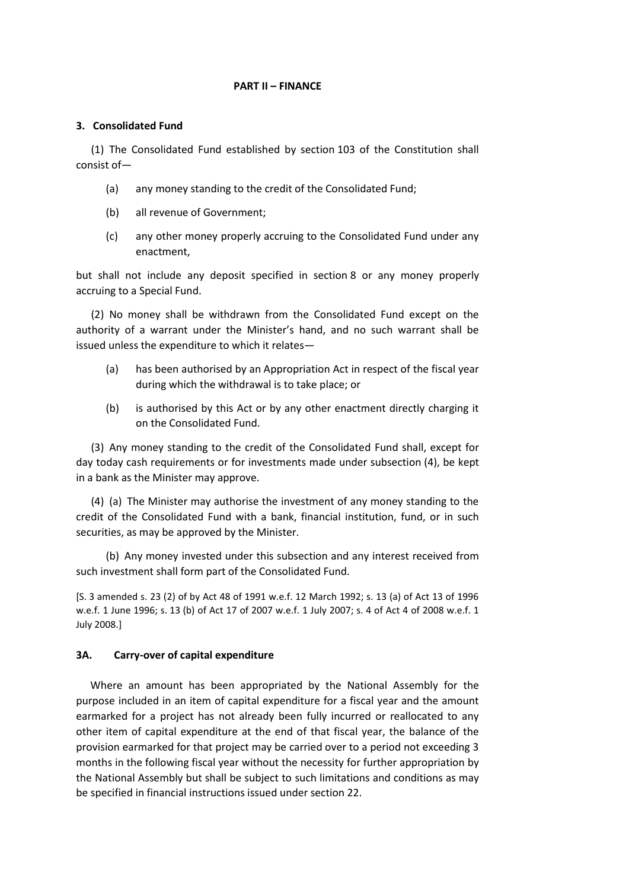#### **PART II – FINANCE**

### **3. Consolidated Fund**

(1) The Consolidated Fund established by section 103 of the Constitution shall consist of—

- (a) any money standing to the credit of the Consolidated Fund;
- (b) all revenue of Government;
- (c) any other money properly accruing to the Consolidated Fund under any enactment,

but shall not include any deposit specified in section 8 or any money properly accruing to a Special Fund.

(2) No money shall be withdrawn from the Consolidated Fund except on the authority of a warrant under the Minister's hand, and no such warrant shall be issued unless the expenditure to which it relates—

- (a) has been authorised by an Appropriation Act in respect of the fiscal year during which the withdrawal is to take place; or
- (b) is authorised by this Act or by any other enactment directly charging it on the Consolidated Fund.

(3) Any money standing to the credit of the Consolidated Fund shall, except for day today cash requirements or for investments made under subsection (4), be kept in a bank as the Minister may approve.

(4) (a) The Minister may authorise the investment of any money standing to the credit of the Consolidated Fund with a bank, financial institution, fund, or in such securities, as may be approved by the Minister.

(b) Any money invested under this subsection and any interest received from such investment shall form part of the Consolidated Fund.

[S. 3 amended s. 23 (2) of by Act 48 of 1991 w.e.f. 12 March 1992; s. 13 (a) of Act 13 of 1996 w.e.f. 1 June 1996; s. 13 (b) of Act 17 of 2007 w.e.f. 1 July 2007; s. 4 of Act 4 of 2008 w.e.f. 1 July 2008.]

#### **3A. Carry-over of capital expenditure**

Where an amount has been appropriated by the National Assembly for the purpose included in an item of capital expenditure for a fiscal year and the amount earmarked for a project has not already been fully incurred or reallocated to any other item of capital expenditure at the end of that fiscal year, the balance of the provision earmarked for that project may be carried over to a period not exceeding 3 months in the following fiscal year without the necessity for further appropriation by the National Assembly but shall be subject to such limitations and conditions as may be specified in financial instructions issued under section 22.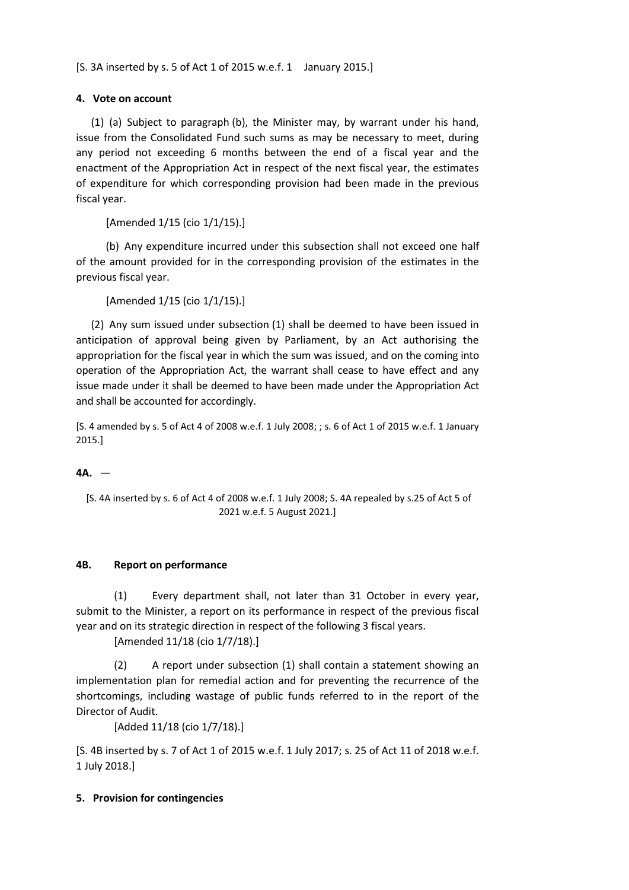[S. 3A inserted by s. 5 of Act 1 of 2015 w.e.f. 1 January 2015.]

# **4. Vote on account**

(1) (a) Subject to paragraph (b), the Minister may, by warrant under his hand, issue from the Consolidated Fund such sums as may be necessary to meet, during any period not exceeding 6 months between the end of a fiscal year and the enactment of the Appropriation Act in respect of the next fiscal year, the estimates of expenditure for which corresponding provision had been made in the previous fiscal year.

[Amended 1/15 (cio 1/1/15).]

(b) Any expenditure incurred under this subsection shall not exceed one half of the amount provided for in the corresponding provision of the estimates in the previous fiscal year.

[Amended 1/15 (cio 1/1/15).]

(2) Any sum issued under subsection (1) shall be deemed to have been issued in anticipation of approval being given by Parliament, by an Act authorising the appropriation for the fiscal year in which the sum was issued, and on the coming into operation of the Appropriation Act, the warrant shall cease to have effect and any issue made under it shall be deemed to have been made under the Appropriation Act and shall be accounted for accordingly.

[S. 4 amended by s. 5 of Act 4 of 2008 w.e.f. 1 July 2008; ; s. 6 of Act 1 of 2015 w.e.f. 1 January 2015.]

# **4A.** —

[S. 4A inserted by s. 6 of Act 4 of 2008 w.e.f. 1 July 2008; S. 4A repealed by s.25 of Act 5 of 2021 w.e.f. 5 August 2021.]

## **4B. Report on performance**

(1) Every department shall, not later than 31 October in every year, submit to the Minister, a report on its performance in respect of the previous fiscal year and on its strategic direction in respect of the following 3 fiscal years.

[Amended 11/18 (cio 1/7/18).]

(2) A report under subsection (1) shall contain a statement showing an implementation plan for remedial action and for preventing the recurrence of the shortcomings, including wastage of public funds referred to in the report of the Director of Audit.

[Added 11/18 (cio 1/7/18).]

[S. 4B inserted by s. 7 of Act 1 of 2015 w.e.f. 1 July 2017; s. 25 of Act 11 of 2018 w.e.f. 1 July 2018.]

## **5. Provision for contingencies**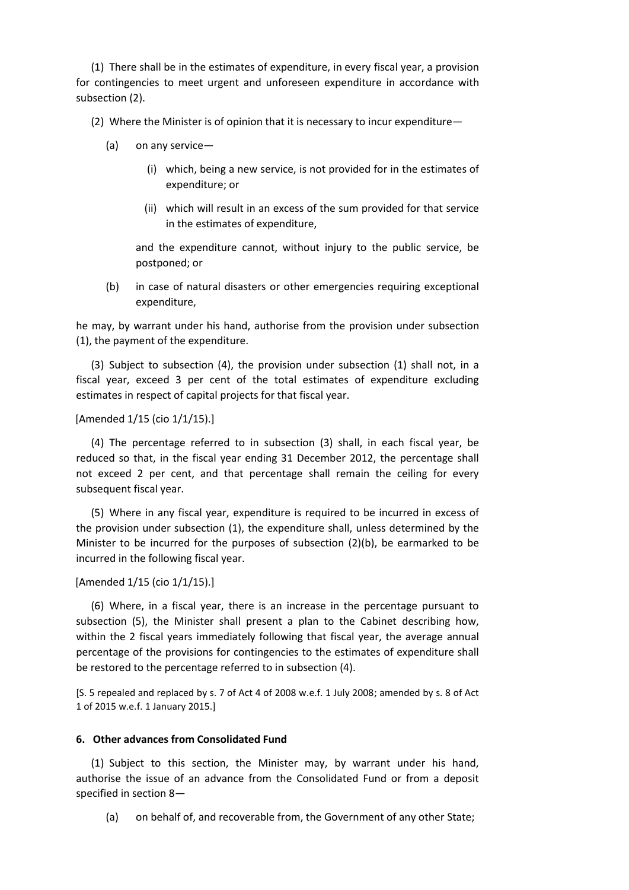(1) There shall be in the estimates of expenditure, in every fiscal year, a provision for contingencies to meet urgent and unforeseen expenditure in accordance with subsection (2).

(2) Where the Minister is of opinion that it is necessary to incur expenditure—

- (a) on any service—
	- (i) which, being a new service, is not provided for in the estimates of expenditure; or
	- (ii) which will result in an excess of the sum provided for that service in the estimates of expenditure,

and the expenditure cannot, without injury to the public service, be postponed; or

(b) in case of natural disasters or other emergencies requiring exceptional expenditure,

he may, by warrant under his hand, authorise from the provision under subsection (1), the payment of the expenditure.

(3) Subject to subsection (4), the provision under subsection (1) shall not, in a fiscal year, exceed 3 per cent of the total estimates of expenditure excluding estimates in respect of capital projects for that fiscal year.

### [Amended 1/15 (cio 1/1/15).]

(4) The percentage referred to in subsection (3) shall, in each fiscal year, be reduced so that, in the fiscal year ending 31 December 2012, the percentage shall not exceed 2 per cent, and that percentage shall remain the ceiling for every subsequent fiscal year.

(5) Where in any fiscal year, expenditure is required to be incurred in excess of the provision under subsection (1), the expenditure shall, unless determined by the Minister to be incurred for the purposes of subsection (2)(b), be earmarked to be incurred in the following fiscal year.

#### [Amended 1/15 (cio 1/1/15).]

(6) Where, in a fiscal year, there is an increase in the percentage pursuant to subsection (5), the Minister shall present a plan to the Cabinet describing how, within the 2 fiscal years immediately following that fiscal year, the average annual percentage of the provisions for contingencies to the estimates of expenditure shall be restored to the percentage referred to in subsection (4).

[S. 5 repealed and replaced by s. 7 of Act 4 of 2008 w.e.f. 1 July 2008; amended by s. 8 of Act 1 of 2015 w.e.f. 1 January 2015.]

#### **6. Other advances from Consolidated Fund**

(1) Subject to this section, the Minister may, by warrant under his hand, authorise the issue of an advance from the Consolidated Fund or from a deposit specified in section 8—

(a) on behalf of, and recoverable from, the Government of any other State;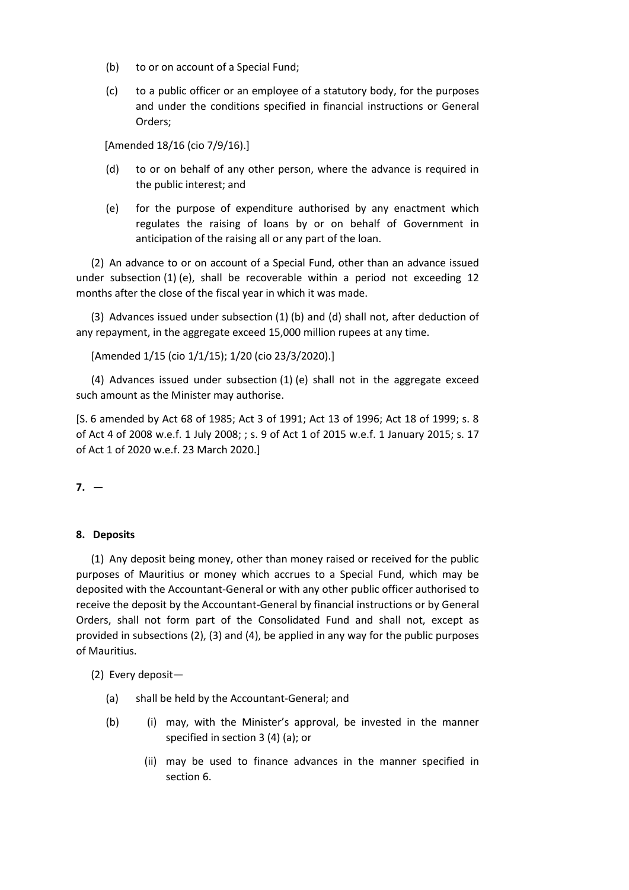- (b) to or on account of a Special Fund;
- (c) to a public officer or an employee of a statutory body, for the purposes and under the conditions specified in financial instructions or General Orders;

[Amended 18/16 (cio 7/9/16).]

- (d) to or on behalf of any other person, where the advance is required in the public interest; and
- (e) for the purpose of expenditure authorised by any enactment which regulates the raising of loans by or on behalf of Government in anticipation of the raising all or any part of the loan.

(2) An advance to or on account of a Special Fund, other than an advance issued under subsection (1) (e), shall be recoverable within a period not exceeding 12 months after the close of the fiscal year in which it was made.

(3) Advances issued under subsection (1) (b) and (d) shall not, after deduction of any repayment, in the aggregate exceed 15,000 million rupees at any time.

[Amended 1/15 (cio 1/1/15); 1/20 (cio 23/3/2020).]

(4) Advances issued under subsection (1) (e) shall not in the aggregate exceed such amount as the Minister may authorise.

[S. 6 amended by Act 68 of 1985; Act 3 of 1991; Act 13 of 1996; Act 18 of 1999; s. 8 of Act 4 of 2008 w.e.f. 1 July 2008; ; s. 9 of Act 1 of 2015 w.e.f. 1 January 2015; s. 17 of Act 1 of 2020 w.e.f. 23 March 2020.]

 $7. -$ 

#### **8. Deposits**

(1) Any deposit being money, other than money raised or received for the public purposes of Mauritius or money which accrues to a Special Fund, which may be deposited with the Accountant-General or with any other public officer authorised to receive the deposit by the Accountant-General by financial instructions or by General Orders, shall not form part of the Consolidated Fund and shall not, except as provided in subsections (2), (3) and (4), be applied in any way for the public purposes of Mauritius.

(2) Every deposit—

- (a) shall be held by the Accountant-General; and
- (b) (i) may, with the Minister's approval, be invested in the manner specified in section 3 (4) (a); or
	- (ii) may be used to finance advances in the manner specified in section 6.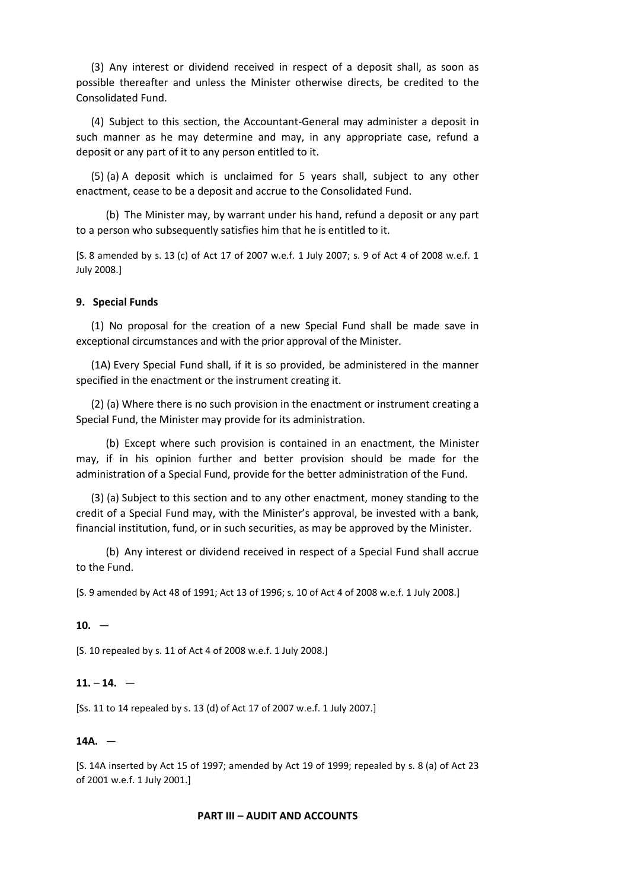(3) Any interest or dividend received in respect of a deposit shall, as soon as possible thereafter and unless the Minister otherwise directs, be credited to the Consolidated Fund.

(4) Subject to this section, the Accountant-General may administer a deposit in such manner as he may determine and may, in any appropriate case, refund a deposit or any part of it to any person entitled to it.

(5) (a) A deposit which is unclaimed for 5 years shall, subject to any other enactment, cease to be a deposit and accrue to the Consolidated Fund.

(b) The Minister may, by warrant under his hand, refund a deposit or any part to a person who subsequently satisfies him that he is entitled to it.

[S. 8 amended by s. 13 (c) of Act 17 of 2007 w.e.f. 1 July 2007; s. 9 of Act 4 of 2008 w.e.f. 1 July 2008.]

#### **9. Special Funds**

(1) No proposal for the creation of a new Special Fund shall be made save in exceptional circumstances and with the prior approval of the Minister.

(1A) Every Special Fund shall, if it is so provided, be administered in the manner specified in the enactment or the instrument creating it.

(2) (a) Where there is no such provision in the enactment or instrument creating a Special Fund, the Minister may provide for its administration.

(b) Except where such provision is contained in an enactment, the Minister may, if in his opinion further and better provision should be made for the administration of a Special Fund, provide for the better administration of the Fund.

(3) (a) Subject to this section and to any other enactment, money standing to the credit of a Special Fund may, with the Minister's approval, be invested with a bank, financial institution, fund, or in such securities, as may be approved by the Minister.

(b) Any interest or dividend received in respect of a Special Fund shall accrue to the Fund.

[S. 9 amended by Act 48 of 1991; Act 13 of 1996; s. 10 of Act 4 of 2008 w.e.f. 1 July 2008.]

#### $10. -$

[S. 10 repealed by s. 11 of Act 4 of 2008 w.e.f. 1 July 2008.]

### **11.** – **14.** —

[Ss. 11 to 14 repealed by s. 13 (d) of Act 17 of 2007 w.e.f. 1 July 2007.]

#### **14A.** —

[S. 14A inserted by Act 15 of 1997; amended by Act 19 of 1999; repealed by s. 8 (a) of Act 23 of 2001 w.e.f. 1 July 2001.]

#### **PART III – AUDIT AND ACCOUNTS**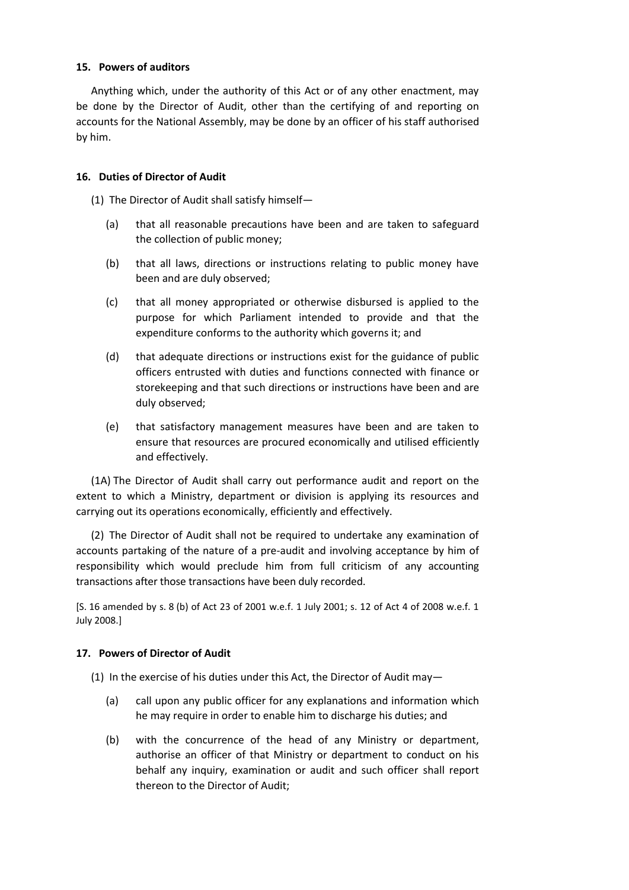## **15. Powers of auditors**

Anything which, under the authority of this Act or of any other enactment, may be done by the Director of Audit, other than the certifying of and reporting on accounts for the National Assembly, may be done by an officer of his staff authorised by him.

## **16. Duties of Director of Audit**

(1) The Director of Audit shall satisfy himself—

- (a) that all reasonable precautions have been and are taken to safeguard the collection of public money;
- (b) that all laws, directions or instructions relating to public money have been and are duly observed;
- (c) that all money appropriated or otherwise disbursed is applied to the purpose for which Parliament intended to provide and that the expenditure conforms to the authority which governs it; and
- (d) that adequate directions or instructions exist for the guidance of public officers entrusted with duties and functions connected with finance or storekeeping and that such directions or instructions have been and are duly observed;
- (e) that satisfactory management measures have been and are taken to ensure that resources are procured economically and utilised efficiently and effectively.

(1A) The Director of Audit shall carry out performance audit and report on the extent to which a Ministry, department or division is applying its resources and carrying out its operations economically, efficiently and effectively.

(2) The Director of Audit shall not be required to undertake any examination of accounts partaking of the nature of a pre-audit and involving acceptance by him of responsibility which would preclude him from full criticism of any accounting transactions after those transactions have been duly recorded.

[S. 16 amended by s. 8 (b) of Act 23 of 2001 w.e.f. 1 July 2001; s. 12 of Act 4 of 2008 w.e.f. 1 July 2008.]

## **17. Powers of Director of Audit**

(1) In the exercise of his duties under this Act, the Director of Audit may—

- (a) call upon any public officer for any explanations and information which he may require in order to enable him to discharge his duties; and
- (b) with the concurrence of the head of any Ministry or department, authorise an officer of that Ministry or department to conduct on his behalf any inquiry, examination or audit and such officer shall report thereon to the Director of Audit;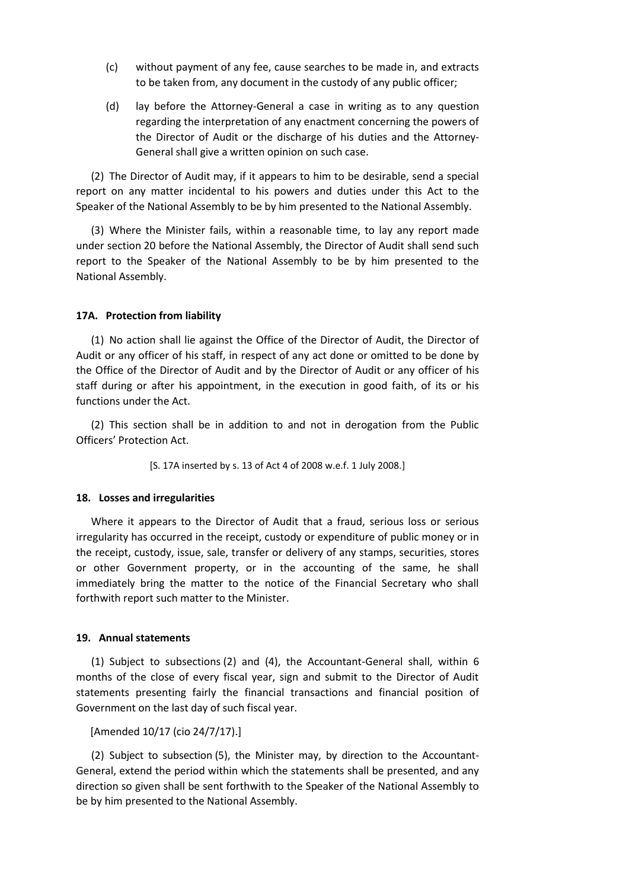- (c) without payment of any fee, cause searches to be made in, and extracts to be taken from, any document in the custody of any public officer;
- (d) lay before the Attorney-General a case in writing as to any question regarding the interpretation of any enactment concerning the powers of the Director of Audit or the discharge of his duties and the Attorney-General shall give a written opinion on such case.

(2) The Director of Audit may, if it appears to him to be desirable, send a special report on any matter incidental to his powers and duties under this Act to the Speaker of the National Assembly to be by him presented to the National Assembly.

(3) Where the Minister fails, within a reasonable time, to lay any report made under section 20 before the National Assembly, the Director of Audit shall send such report to the Speaker of the National Assembly to be by him presented to the National Assembly.

### **17A. Protection from liability**

(1) No action shall lie against the Office of the Director of Audit, the Director of Audit or any officer of his staff, in respect of any act done or omitted to be done by the Office of the Director of Audit and by the Director of Audit or any officer of his staff during or after his appointment, in the execution in good faith, of its or his functions under the Act.

(2) This section shall be in addition to and not in derogation from the Public Officers' Protection Act.

[S. 17A inserted by s. 13 of Act 4 of 2008 w.e.f. 1 July 2008.]

#### **18. Losses and irregularities**

Where it appears to the Director of Audit that a fraud, serious loss or serious irregularity has occurred in the receipt, custody or expenditure of public money or in the receipt, custody, issue, sale, transfer or delivery of any stamps, securities, stores or other Government property, or in the accounting of the same, he shall immediately bring the matter to the notice of the Financial Secretary who shall forthwith report such matter to the Minister.

#### **19. Annual statements**

(1) Subject to subsections (2) and (4), the Accountant-General shall, within 6 months of the close of every fiscal year, sign and submit to the Director of Audit statements presenting fairly the financial transactions and financial position of Government on the last day of such fiscal year.

[Amended 10/17 (cio 24/7/17).]

(2) Subject to subsection (5), the Minister may, by direction to the Accountant-General, extend the period within which the statements shall be presented, and any direction so given shall be sent forthwith to the Speaker of the National Assembly to be by him presented to the National Assembly.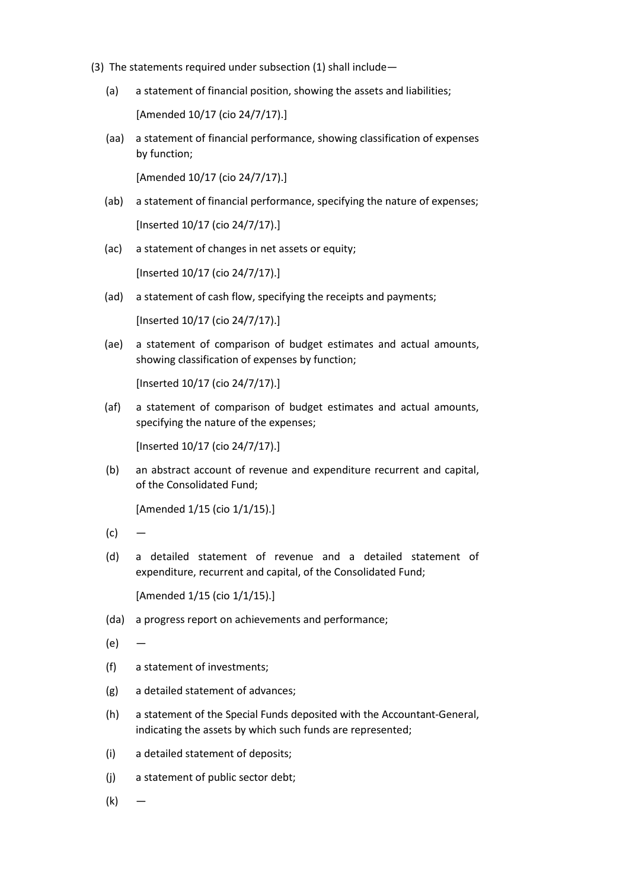- (3) The statements required under subsection (1) shall include—
	- (a) a statement of financial position, showing the assets and liabilities;

[Amended 10/17 (cio 24/7/17).]

(aa) a statement of financial performance, showing classification of expenses by function;

[Amended 10/17 (cio 24/7/17).]

- (ab) a statement of financial performance, specifying the nature of expenses; [Inserted 10/17 (cio 24/7/17).]
- (ac) a statement of changes in net assets or equity;

[Inserted 10/17 (cio 24/7/17).]

(ad) a statement of cash flow, specifying the receipts and payments;

[Inserted 10/17 (cio 24/7/17).]

(ae) a statement of comparison of budget estimates and actual amounts, showing classification of expenses by function;

[Inserted 10/17 (cio 24/7/17).]

(af) a statement of comparison of budget estimates and actual amounts, specifying the nature of the expenses;

[Inserted 10/17 (cio 24/7/17).]

(b) an abstract account of revenue and expenditure recurrent and capital, of the Consolidated Fund;

[Amended 1/15 (cio 1/1/15).]

- $(c)$
- (d) a detailed statement of revenue and a detailed statement of expenditure, recurrent and capital, of the Consolidated Fund;

[Amended 1/15 (cio 1/1/15).]

- (da) a progress report on achievements and performance;
- $(e)$  —
- (f) a statement of investments;
- (g) a detailed statement of advances;
- (h) a statement of the Special Funds deposited with the Accountant-General, indicating the assets by which such funds are represented;
- (i) a detailed statement of deposits;
- (j) a statement of public sector debt;
- (k) —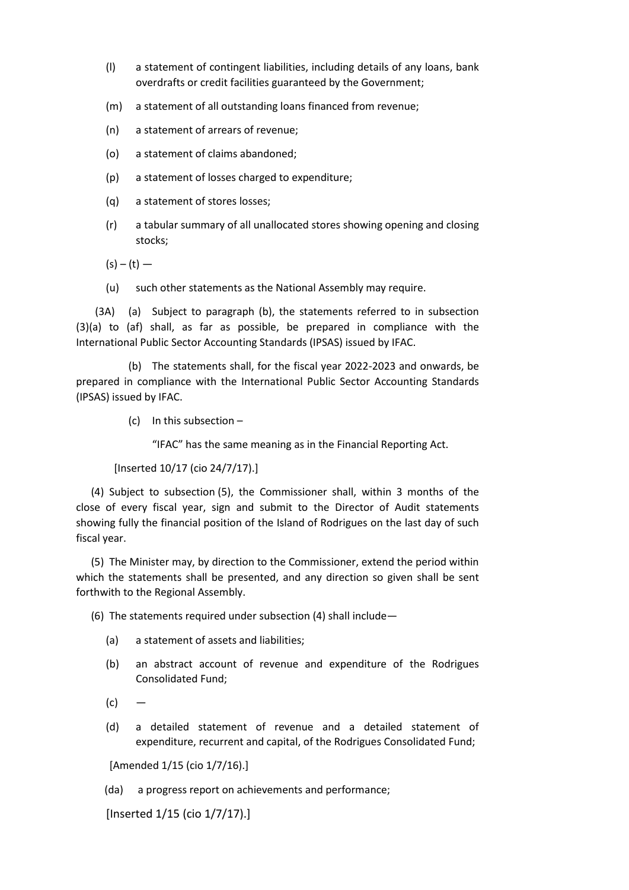- (l) a statement of contingent liabilities, including details of any loans, bank overdrafts or credit facilities guaranteed by the Government;
- (m) a statement of all outstanding loans financed from revenue;
- (n) a statement of arrears of revenue;
- (o) a statement of claims abandoned;
- (p) a statement of losses charged to expenditure;
- (q) a statement of stores losses;
- (r) a tabular summary of all unallocated stores showing opening and closing stocks;

 $(s) - (t) -$ 

(u) such other statements as the National Assembly may require.

(3A) (a) Subject to paragraph (b), the statements referred to in subsection (3)(a) to (af) shall, as far as possible, be prepared in compliance with the International Public Sector Accounting Standards (IPSAS) issued by IFAC.

(b) The statements shall, for the fiscal year 2022-2023 and onwards, be prepared in compliance with the International Public Sector Accounting Standards (IPSAS) issued by IFAC.

(c) In this subsection –

"IFAC" has the same meaning as in the Financial Reporting Act.

[Inserted 10/17 (cio 24/7/17).]

(4) Subject to subsection (5), the Commissioner shall, within 3 months of the close of every fiscal year, sign and submit to the Director of Audit statements showing fully the financial position of the Island of Rodrigues on the last day of such fiscal year.

(5) The Minister may, by direction to the Commissioner, extend the period within which the statements shall be presented, and any direction so given shall be sent forthwith to the Regional Assembly.

(6) The statements required under subsection (4) shall include—

- (a) a statement of assets and liabilities;
- (b) an abstract account of revenue and expenditure of the Rodrigues Consolidated Fund;
- $(c)$
- (d) a detailed statement of revenue and a detailed statement of expenditure, recurrent and capital, of the Rodrigues Consolidated Fund;

[Amended 1/15 (cio 1/7/16).]

(da) a progress report on achievements and performance;

[Inserted 1/15 (cio 1/7/17).]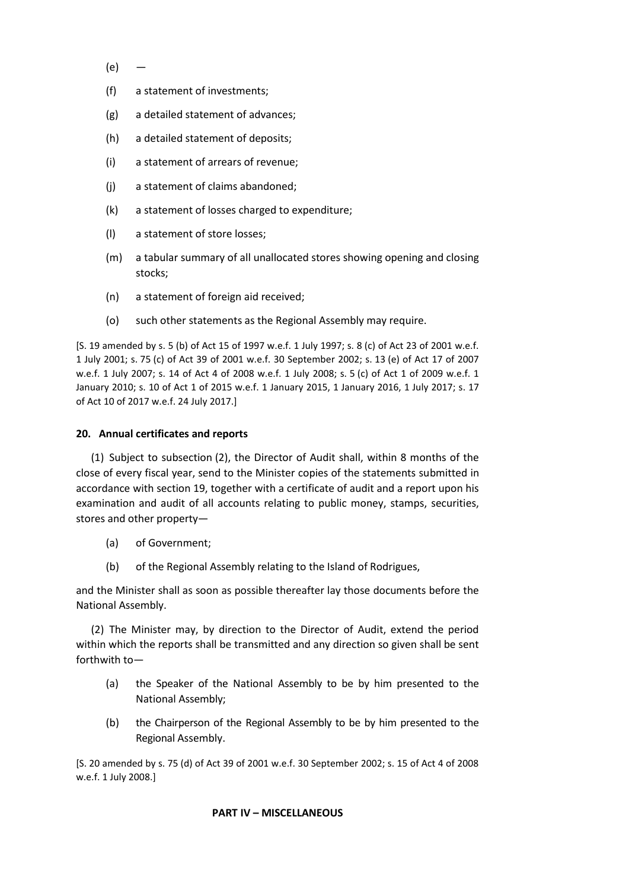- $(e)$  —
- (f) a statement of investments;
- (g) a detailed statement of advances;
- (h) a detailed statement of deposits;
- (i) a statement of arrears of revenue;
- (j) a statement of claims abandoned;
- (k) a statement of losses charged to expenditure;
- (l) a statement of store losses;
- (m) a tabular summary of all unallocated stores showing opening and closing stocks;
- (n) a statement of foreign aid received;
- (o) such other statements as the Regional Assembly may require.

[S. 19 amended by s. 5 (b) of Act 15 of 1997 w.e.f. 1 July 1997; s. 8 (c) of Act 23 of 2001 w.e.f. 1 July 2001; s. 75 (c) of Act 39 of 2001 w.e.f. 30 September 2002; s. 13 (e) of Act 17 of 2007 w.e.f. 1 July 2007; s. 14 of Act 4 of 2008 w.e.f. 1 July 2008; s. 5 (c) of Act 1 of 2009 w.e.f. 1 January 2010; s. 10 of Act 1 of 2015 w.e.f. 1 January 2015, 1 January 2016, 1 July 2017; s. 17 of Act 10 of 2017 w.e.f. 24 July 2017.]

## **20. Annual certificates and reports**

(1) Subject to subsection (2), the Director of Audit shall, within 8 months of the close of every fiscal year, send to the Minister copies of the statements submitted in accordance with section 19, together with a certificate of audit and a report upon his examination and audit of all accounts relating to public money, stamps, securities, stores and other property—

- (a) of Government;
- (b) of the Regional Assembly relating to the Island of Rodrigues,

and the Minister shall as soon as possible thereafter lay those documents before the National Assembly.

(2) The Minister may, by direction to the Director of Audit, extend the period within which the reports shall be transmitted and any direction so given shall be sent forthwith to—

- (a) the Speaker of the National Assembly to be by him presented to the National Assembly;
- (b) the Chairperson of the Regional Assembly to be by him presented to the Regional Assembly.

[S. 20 amended by s. 75 (d) of Act 39 of 2001 w.e.f. 30 September 2002; s. 15 of Act 4 of 2008 w.e.f. 1 July 2008.]

## **PART IV – MISCELLANEOUS**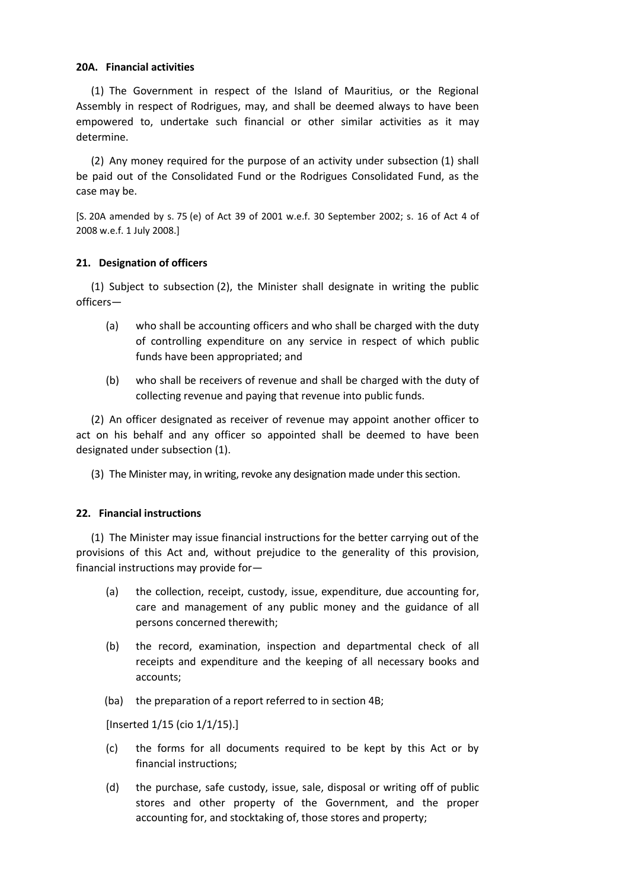## **20A. Financial activities**

(1) The Government in respect of the Island of Mauritius, or the Regional Assembly in respect of Rodrigues, may, and shall be deemed always to have been empowered to, undertake such financial or other similar activities as it may determine.

(2) Any money required for the purpose of an activity under subsection (1) shall be paid out of the Consolidated Fund or the Rodrigues Consolidated Fund, as the case may be.

[S. 20A amended by s. 75 (e) of Act 39 of 2001 w.e.f. 30 September 2002; s. 16 of Act 4 of 2008 w.e.f. 1 July 2008.]

### **21. Designation of officers**

(1) Subject to subsection (2), the Minister shall designate in writing the public officers—

- (a) who shall be accounting officers and who shall be charged with the duty of controlling expenditure on any service in respect of which public funds have been appropriated; and
- (b) who shall be receivers of revenue and shall be charged with the duty of collecting revenue and paying that revenue into public funds.

(2) An officer designated as receiver of revenue may appoint another officer to act on his behalf and any officer so appointed shall be deemed to have been designated under subsection (1).

(3) The Minister may, in writing, revoke any designation made under this section.

#### **22. Financial instructions**

(1) The Minister may issue financial instructions for the better carrying out of the provisions of this Act and, without prejudice to the generality of this provision, financial instructions may provide for—

- (a) the collection, receipt, custody, issue, expenditure, due accounting for, care and management of any public money and the guidance of all persons concerned therewith;
- (b) the record, examination, inspection and departmental check of all receipts and expenditure and the keeping of all necessary books and accounts;
- (ba) the preparation of a report referred to in section 4B;

[Inserted 1/15 (cio 1/1/15).]

- (c) the forms for all documents required to be kept by this Act or by financial instructions;
- (d) the purchase, safe custody, issue, sale, disposal or writing off of public stores and other property of the Government, and the proper accounting for, and stocktaking of, those stores and property;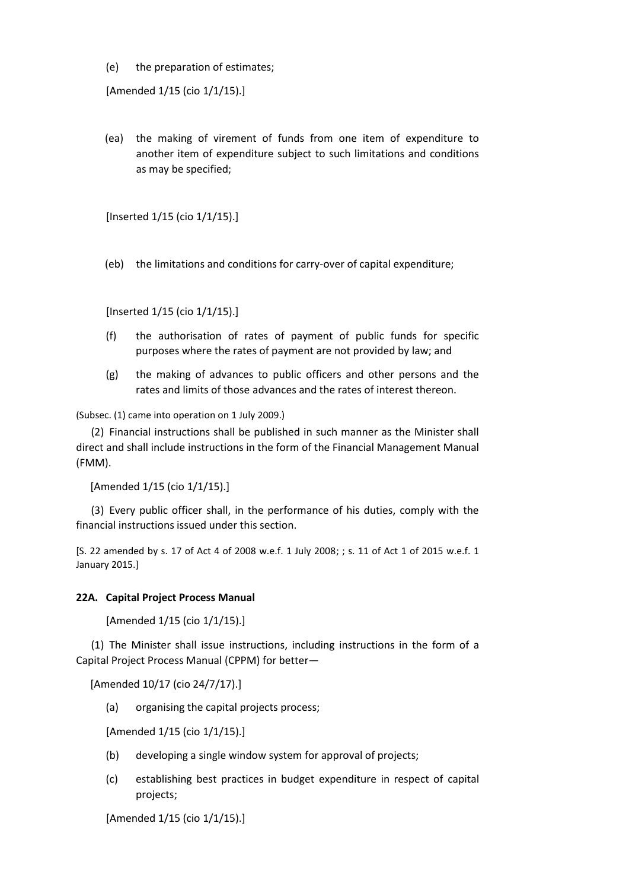(e) the preparation of estimates;

[Amended 1/15 (cio 1/1/15).]

(ea) the making of virement of funds from one item of expenditure to another item of expenditure subject to such limitations and conditions as may be specified;

[Inserted 1/15 (cio 1/1/15).]

(eb) the limitations and conditions for carry-over of capital expenditure;

[Inserted 1/15 (cio 1/1/15).]

- (f) the authorisation of rates of payment of public funds for specific purposes where the rates of payment are not provided by law; and
- (g) the making of advances to public officers and other persons and the rates and limits of those advances and the rates of interest thereon.

(Subsec. (1) came into operation on 1 July 2009.)

(2) Financial instructions shall be published in such manner as the Minister shall direct and shall include instructions in the form of the Financial Management Manual (FMM).

[Amended 1/15 (cio 1/1/15).]

(3) Every public officer shall, in the performance of his duties, comply with the financial instructions issued under this section.

[S. 22 amended by s. 17 of Act 4 of 2008 w.e.f. 1 July 2008; ; s. 11 of Act 1 of 2015 w.e.f. 1 January 2015.]

## **22A. Capital Project Process Manual**

[Amended 1/15 (cio 1/1/15).]

(1) The Minister shall issue instructions, including instructions in the form of a Capital Project Process Manual (CPPM) for better—

[Amended 10/17 (cio 24/7/17).]

(a) organising the capital projects process;

[Amended 1/15 (cio 1/1/15).]

- (b) developing a single window system for approval of projects;
- (c) establishing best practices in budget expenditure in respect of capital projects;

[Amended 1/15 (cio 1/1/15).]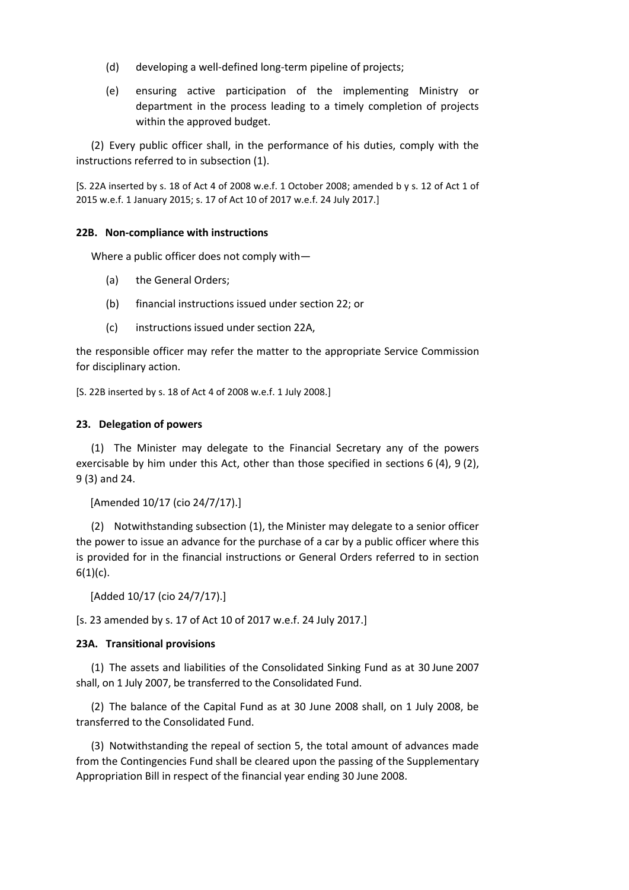- (d) developing a well-defined long-term pipeline of projects;
- (e) ensuring active participation of the implementing Ministry or department in the process leading to a timely completion of projects within the approved budget.

(2) Every public officer shall, in the performance of his duties, comply with the instructions referred to in subsection (1).

[S. 22A inserted by s. 18 of Act 4 of 2008 w.e.f. 1 October 2008; amended b y s. 12 of Act 1 of 2015 w.e.f. 1 January 2015; s. 17 of Act 10 of 2017 w.e.f. 24 July 2017.]

## **22B. Non-compliance with instructions**

Where a public officer does not comply with—

- (a) the General Orders;
- (b) financial instructions issued under section 22; or
- (c) instructions issued under section 22A,

the responsible officer may refer the matter to the appropriate Service Commission for disciplinary action.

[S. 22B inserted by s. 18 of Act 4 of 2008 w.e.f. 1 July 2008.]

### **23. Delegation of powers**

(1) The Minister may delegate to the Financial Secretary any of the powers exercisable by him under this Act, other than those specified in sections 6 (4), 9 (2), 9 (3) and 24.

```
[Amended 10/17 (cio 24/7/17).]
```
(2) Notwithstanding subsection (1), the Minister may delegate to a senior officer the power to issue an advance for the purchase of a car by a public officer where this is provided for in the financial instructions or General Orders referred to in section  $6(1)(c)$ .

[Added 10/17 (cio 24/7/17).]

[s. 23 amended by s. 17 of Act 10 of 2017 w.e.f. 24 July 2017.]

## **23A. Transitional provisions**

(1) The assets and liabilities of the Consolidated Sinking Fund as at 30 June 2007 shall, on 1 July 2007, be transferred to the Consolidated Fund.

(2) The balance of the Capital Fund as at 30 June 2008 shall, on 1 July 2008, be transferred to the Consolidated Fund.

(3) Notwithstanding the repeal of section 5, the total amount of advances made from the Contingencies Fund shall be cleared upon the passing of the Supplementary Appropriation Bill in respect of the financial year ending 30 June 2008.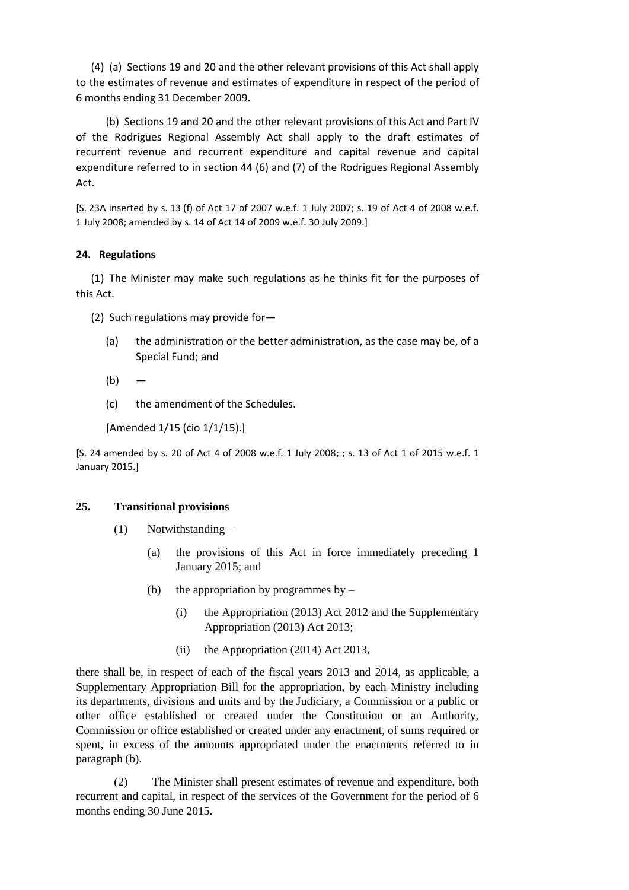(4) (a) Sections 19 and 20 and the other relevant provisions of this Act shall apply to the estimates of revenue and estimates of expenditure in respect of the period of 6 months ending 31 December 2009.

(b) Sections 19 and 20 and the other relevant provisions of this Act and Part IV of the Rodrigues Regional Assembly Act shall apply to the draft estimates of recurrent revenue and recurrent expenditure and capital revenue and capital expenditure referred to in section 44 (6) and (7) of the Rodrigues Regional Assembly Act.

[S. 23A inserted by s. 13 (f) of Act 17 of 2007 w.e.f. 1 July 2007; s. 19 of Act 4 of 2008 w.e.f. 1 July 2008; amended by s. 14 of Act 14 of 2009 w.e.f. 30 July 2009.]

## **24. Regulations**

(1) The Minister may make such regulations as he thinks fit for the purposes of this Act.

(2) Such regulations may provide for—

- (a) the administration or the better administration, as the case may be, of a Special Fund; and
- $(b)$
- (c) the amendment of the Schedules.

[Amended 1/15 (cio 1/1/15).]

[S. 24 amended by s. 20 of Act 4 of 2008 w.e.f. 1 July 2008; ; s. 13 of Act 1 of 2015 w.e.f. 1 January 2015.]

## **25. Transitional provisions**

- (1) Notwithstanding
	- (a) the provisions of this Act in force immediately preceding 1 January 2015; and
	- (b) the appropriation by programmes by  $-$ 
		- (i) the Appropriation (2013) Act 2012 and the Supplementary Appropriation (2013) Act 2013;
		- (ii) the Appropriation (2014) Act 2013,

there shall be, in respect of each of the fiscal years 2013 and 2014, as applicable, a Supplementary Appropriation Bill for the appropriation, by each Ministry including its departments, divisions and units and by the Judiciary, a Commission or a public or other office established or created under the Constitution or an Authority, Commission or office established or created under any enactment, of sums required or spent, in excess of the amounts appropriated under the enactments referred to in paragraph (b).

(2) The Minister shall present estimates of revenue and expenditure, both recurrent and capital, in respect of the services of the Government for the period of 6 months ending 30 June 2015.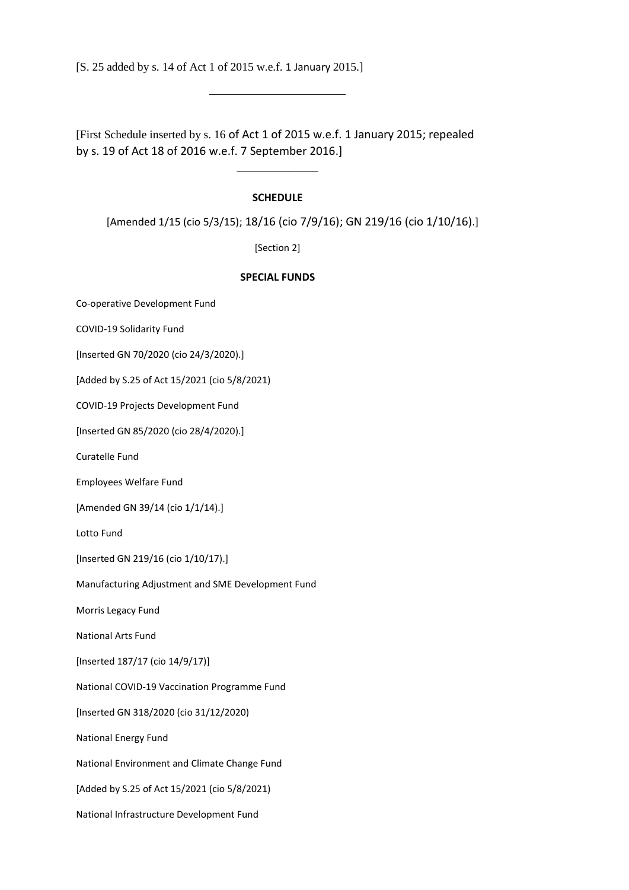[S. 25 added by s. 14 of Act 1 of 2015 w.e.f. 1 January 2015.]

[First Schedule inserted by s. 16 of Act 1 of 2015 w.e.f. 1 January 2015; repealed by s. 19 of Act 18 of 2016 w.e.f. 7 September 2016.]

#### **SCHEDULE**

 $\overline{\phantom{a}}$  , where  $\overline{\phantom{a}}$ 

[Amended 1/15 (cio 5/3/15); 18/16 (cio 7/9/16); GN 219/16 (cio 1/10/16).]

[Section 2]

#### **SPECIAL FUNDS**

Co-operative Development Fund

COVID-19 Solidarity Fund

[Inserted GN 70/2020 (cio 24/3/2020).]

[Added by S.25 of Act 15/2021 (cio 5/8/2021)

COVID-19 Projects Development Fund

[Inserted GN 85/2020 (cio 28/4/2020).]

Curatelle Fund

Employees Welfare Fund

[Amended GN 39/14 (cio 1/1/14).]

Lotto Fund

[Inserted GN 219/16 (cio 1/10/17).]

Manufacturing Adjustment and SME Development Fund

Morris Legacy Fund

National Arts Fund

[Inserted 187/17 (cio 14/9/17)]

National COVID-19 Vaccination Programme Fund

[Inserted GN 318/2020 (cio 31/12/2020)

National Energy Fund

National Environment and Climate Change Fund

[Added by S.25 of Act 15/2021 (cio 5/8/2021)

National Infrastructure Development Fund